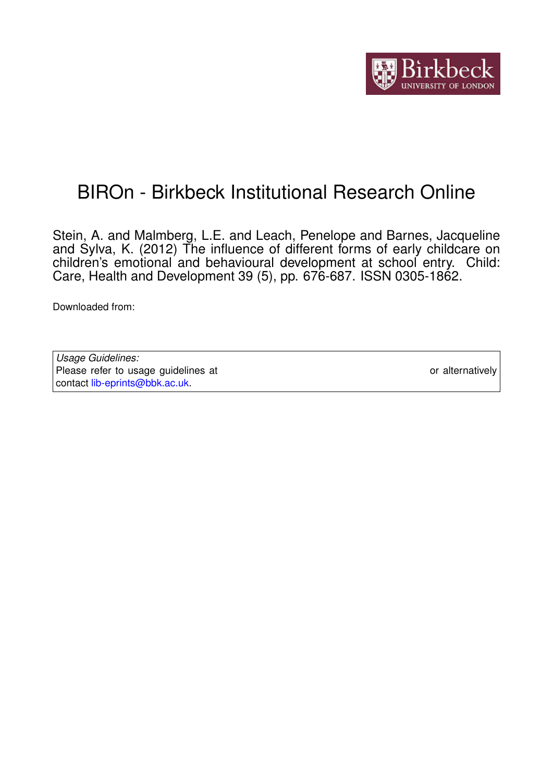

# BIROn - Birkbeck Institutional Research Online

Stein, A. and Malmberg, L.E. and Leach, Penelope and Barnes, Jacqueline and Sylva, K. (2012) The influence of different forms of early childcare on children's emotional and behavioural development at school entry. Child: Care, Health and Development 39 (5), pp. 676-687. ISSN 0305-1862.

Downloaded from: <https://eprints.bbk.ac.uk/id/eprint/5617/>

*Usage Guidelines:* Please refer to usage guidelines at <https://eprints.bbk.ac.uk/policies.html> or alternatively contact [lib-eprints@bbk.ac.uk.](mailto:lib-eprints@bbk.ac.uk)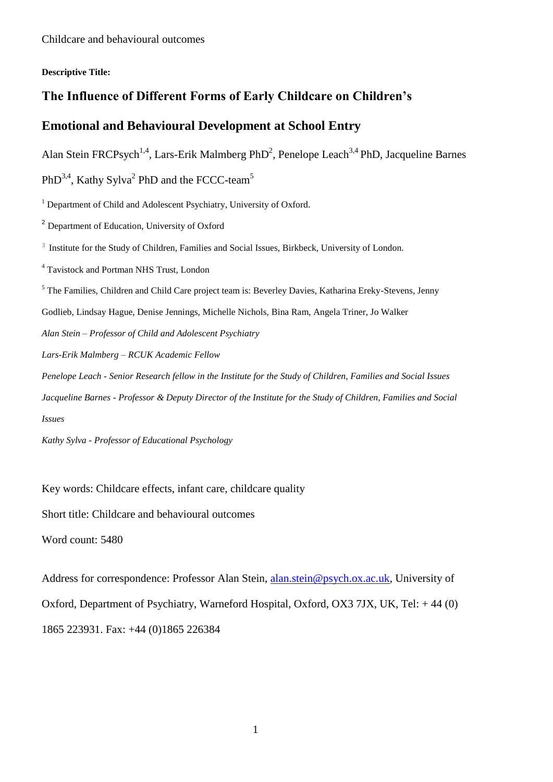#### **Descriptive Title:**

## **The Influence of Different Forms of Early Childcare on Children's**

## **Emotional and Behavioural Development at School Entry**

Alan Stein FRCPsych<sup>1,4</sup>, Lars-Erik Malmberg PhD<sup>2</sup>, Penelope Leach<sup>3,4</sup> PhD, Jacqueline Barnes

PhD<sup>3,4</sup>, Kathy Sylva<sup>2</sup> PhD and the FCCC-team<sup>5</sup>

<sup>1</sup> Department of Child and Adolescent Psychiatry, University of Oxford.

<sup>2</sup> Department of Education, University of Oxford

<sup>3</sup> Institute for the Study of Children, Families and Social Issues, Birkbeck, University of London.

<sup>4</sup> Tavistock and Portman NHS Trust, London

<sup>5</sup> The Families, Children and Child Care project team is: Beverley Davies, Katharina Ereky-Stevens, Jenny

Godlieb, Lindsay Hague, Denise Jennings, Michelle Nichols, Bina Ram, Angela Triner, Jo Walker

*Alan Stein – Professor of Child and Adolescent Psychiatry*

*Lars-Erik Malmberg – RCUK Academic Fellow*

*Penelope Leach - Senior Research fellow in the Institute for the Study of Children, Families and Social Issues*

*Jacqueline Barnes - Professor & Deputy Director of the Institute for the Study of Children, Families and Social Issues*

*Kathy Sylva - Professor of Educational Psychology*

Key words: Childcare effects, infant care, childcare quality

Short title: Childcare and behavioural outcomes

Word count: 5480

Address for correspondence: Professor Alan Stein, [alan.stein@psych.ox.ac.uk,](mailto:alan.stein@psych.ox.ac.uk) University of Oxford, Department of Psychiatry, Warneford Hospital, Oxford, OX3 7JX, UK, Tel: + 44 (0) 1865 223931. Fax: +44 (0)1865 226384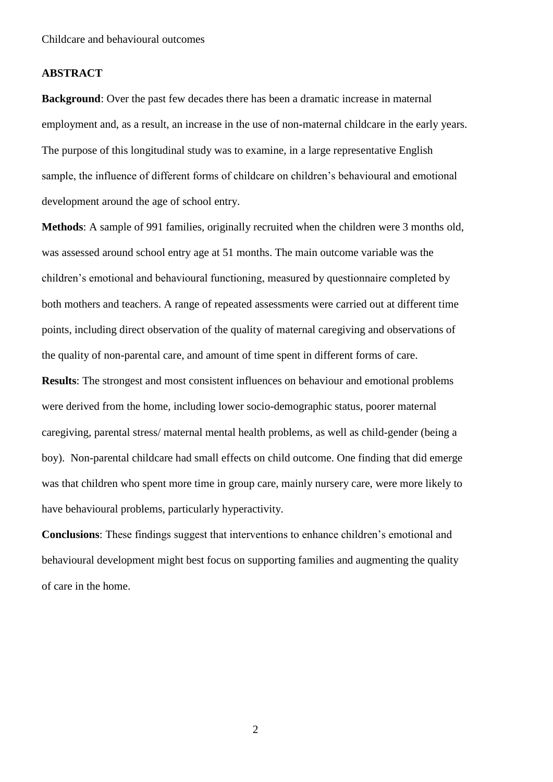#### **ABSTRACT**

**Background**: Over the past few decades there has been a dramatic increase in maternal employment and, as a result, an increase in the use of non-maternal childcare in the early years. The purpose of this longitudinal study was to examine, in a large representative English sample, the influence of different forms of childcare on children's behavioural and emotional development around the age of school entry.

**Methods**: A sample of 991 families, originally recruited when the children were 3 months old, was assessed around school entry age at 51 months. The main outcome variable was the children's emotional and behavioural functioning, measured by questionnaire completed by both mothers and teachers. A range of repeated assessments were carried out at different time points, including direct observation of the quality of maternal caregiving and observations of the quality of non-parental care, and amount of time spent in different forms of care. **Results**: The strongest and most consistent influences on behaviour and emotional problems were derived from the home, including lower socio-demographic status, poorer maternal caregiving, parental stress/ maternal mental health problems, as well as child-gender (being a boy). Non-parental childcare had small effects on child outcome. One finding that did emerge was that children who spent more time in group care, mainly nursery care, were more likely to have behavioural problems, particularly hyperactivity.

**Conclusions**: These findings suggest that interventions to enhance children's emotional and behavioural development might best focus on supporting families and augmenting the quality of care in the home.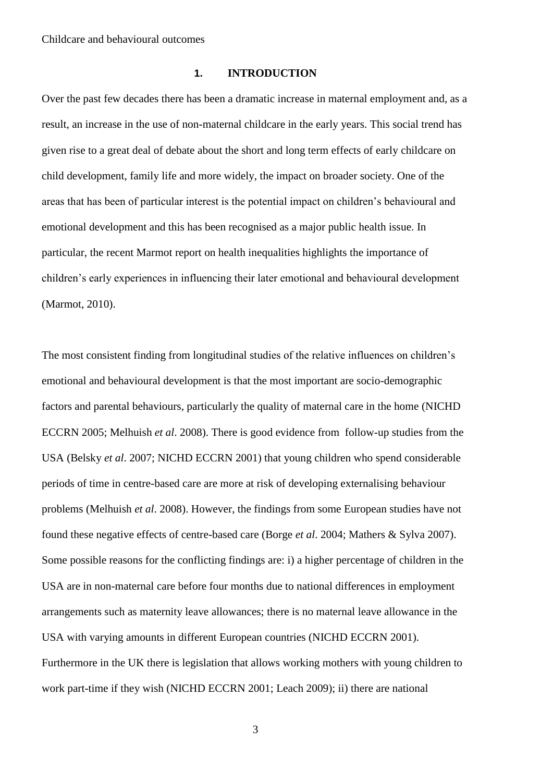#### **1. INTRODUCTION**

Over the past few decades there has been a dramatic increase in maternal employment and, as a result, an increase in the use of non-maternal childcare in the early years. This social trend has given rise to a great deal of debate about the short and long term effects of early childcare on child development, family life and more widely, the impact on broader society. One of the areas that has been of particular interest is the potential impact on children's behavioural and emotional development and this has been recognised as a major public health issue. In particular, the recent Marmot report on health inequalities highlights the importance of children's early experiences in influencing their later emotional and behavioural development (Marmot, 2010).

The most consistent finding from longitudinal studies of the relative influences on children's emotional and behavioural development is that the most important are socio-demographic factors and parental behaviours, particularly the quality of maternal care in the home (NICHD ECCRN 2005; Melhuish *et al*. 2008). There is good evidence from follow-up studies from the USA (Belsky *et al*. 2007; NICHD ECCRN 2001) that young children who spend considerable periods of time in centre-based care are more at risk of developing externalising behaviour problems (Melhuish *et al*. 2008). However, the findings from some European studies have not found these negative effects of centre-based care (Borge *et al*. 2004; Mathers & Sylva 2007). Some possible reasons for the conflicting findings are: i) a higher percentage of children in the USA are in non-maternal care before four months due to national differences in employment arrangements such as maternity leave allowances; there is no maternal leave allowance in the USA with varying amounts in different European countries (NICHD ECCRN 2001). Furthermore in the UK there is legislation that allows working mothers with young children to work part-time if they wish (NICHD ECCRN 2001; Leach 2009); ii) there are national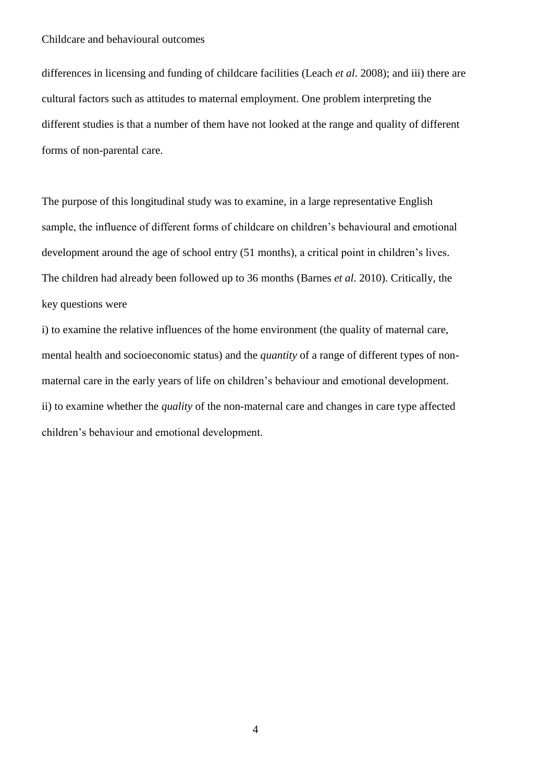differences in licensing and funding of childcare facilities (Leach *et al*. 2008); and iii) there are cultural factors such as attitudes to maternal employment. One problem interpreting the different studies is that a number of them have not looked at the range and quality of different forms of non-parental care.

The purpose of this longitudinal study was to examine, in a large representative English sample, the influence of different forms of childcare on children's behavioural and emotional development around the age of school entry (51 months), a critical point in children's lives. The children had already been followed up to 36 months (Barnes *et al*. 2010). Critically, the key questions were

i) to examine the relative influences of the home environment (the quality of maternal care, mental health and socioeconomic status) and the *quantity* of a range of different types of nonmaternal care in the early years of life on children's behaviour and emotional development. ii) to examine whether the *quality* of the non-maternal care and changes in care type affected children's behaviour and emotional development.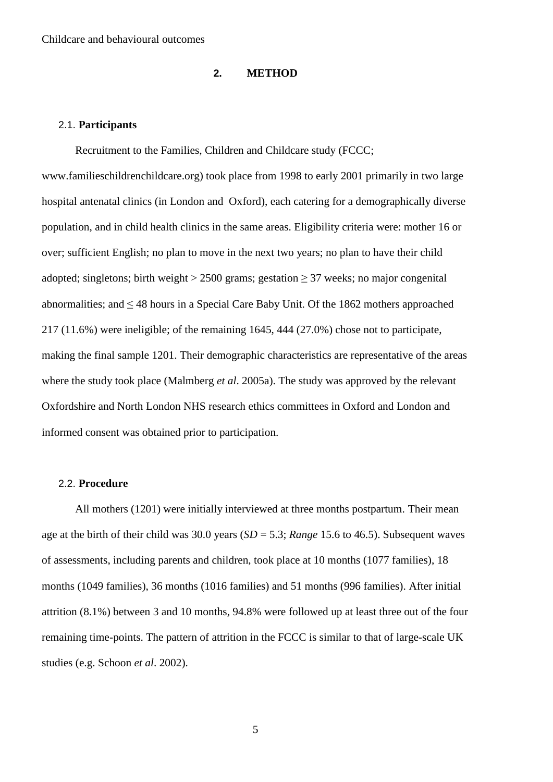#### **2. METHOD**

#### 2.1. **Participants**

Recruitment to the Families, Children and Childcare study (FCCC; www.familieschildrenchildcare.org) took place from 1998 to early 2001 primarily in two large hospital antenatal clinics (in London and Oxford), each catering for a demographically diverse population, and in child health clinics in the same areas. Eligibility criteria were: mother 16 or over; sufficient English; no plan to move in the next two years; no plan to have their child adopted; singletons; birth weight > 2500 grams; gestation  $\geq$  37 weeks; no major congenital abnormalities; and ≤ 48 hours in a Special Care Baby Unit. Of the 1862 mothers approached 217 (11.6%) were ineligible; of the remaining 1645, 444 (27.0%) chose not to participate, making the final sample 1201. Their demographic characteristics are representative of the areas where the study took place (Malmberg *et al*. 2005a). The study was approved by the relevant Oxfordshire and North London NHS research ethics committees in Oxford and London and informed consent was obtained prior to participation.

#### 2.2. **Procedure**

All mothers (1201) were initially interviewed at three months postpartum. Their mean age at the birth of their child was 30.0 years (*SD* = 5.3; *Range* 15.6 to 46.5). Subsequent waves of assessments, including parents and children, took place at 10 months (1077 families), 18 months (1049 families), 36 months (1016 families) and 51 months (996 families). After initial attrition (8.1%) between 3 and 10 months, 94.8% were followed up at least three out of the four remaining time-points. The pattern of attrition in the FCCC is similar to that of large-scale UK studies (e.g. Schoon *et al*. 2002).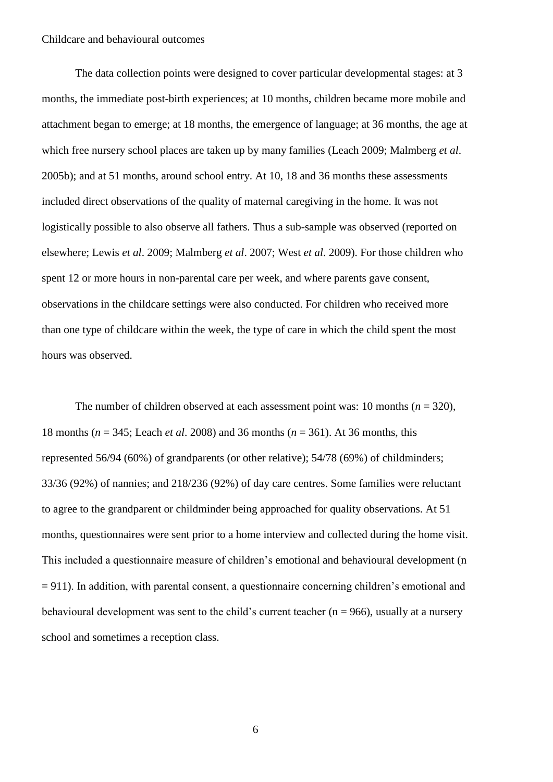The data collection points were designed to cover particular developmental stages: at 3 months, the immediate post-birth experiences; at 10 months, children became more mobile and attachment began to emerge; at 18 months, the emergence of language; at 36 months, the age at which free nursery school places are taken up by many families (Leach 2009; Malmberg *et al*. 2005b); and at 51 months, around school entry. At 10, 18 and 36 months these assessments included direct observations of the quality of maternal caregiving in the home. It was not logistically possible to also observe all fathers. Thus a sub-sample was observed (reported on elsewhere; Lewis *et al*. 2009; Malmberg *et al*. 2007; West *et al*. 2009). For those children who spent 12 or more hours in non-parental care per week, and where parents gave consent, observations in the childcare settings were also conducted. For children who received more than one type of childcare within the week, the type of care in which the child spent the most hours was observed.

The number of children observed at each assessment point was: 10 months  $(n = 320)$ , 18 months (*n* = 345; Leach *et al*. 2008) and 36 months (*n* = 361). At 36 months, this represented 56/94 (60%) of grandparents (or other relative); 54/78 (69%) of childminders; 33/36 (92%) of nannies; and 218/236 (92%) of day care centres. Some families were reluctant to agree to the grandparent or childminder being approached for quality observations. At 51 months, questionnaires were sent prior to a home interview and collected during the home visit. This included a questionnaire measure of children's emotional and behavioural development (n  $= 911$ ). In addition, with parental consent, a questionnaire concerning children's emotional and behavioural development was sent to the child's current teacher ( $n = 966$ ), usually at a nursery school and sometimes a reception class.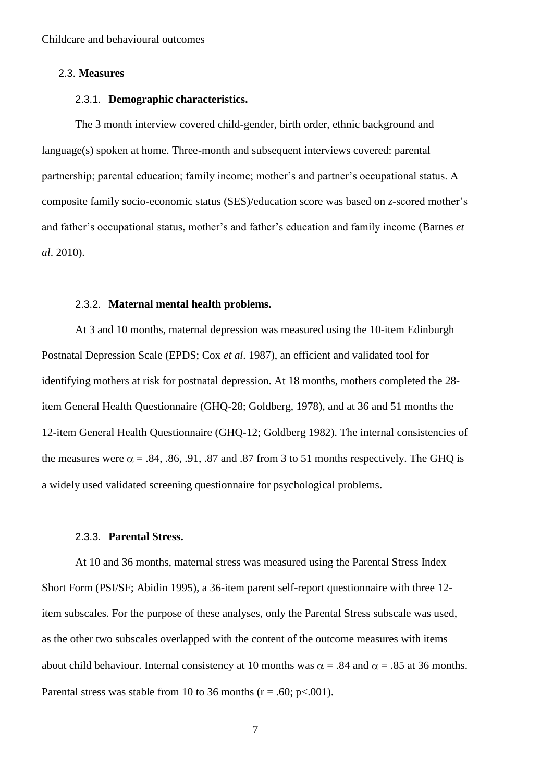#### 2.3. **Measures**

#### 2.3.1. **Demographic characteristics.**

The 3 month interview covered child-gender, birth order, ethnic background and language(s) spoken at home. Three-month and subsequent interviews covered: parental partnership; parental education; family income; mother's and partner's occupational status. A composite family socio-economic status (SES)/education score was based on *z*-scored mother's and father's occupational status, mother's and father's education and family income (Barnes *et al*. 2010).

#### 2.3.2. **Maternal mental health problems.**

At 3 and 10 months, maternal depression was measured using the 10-item Edinburgh Postnatal Depression Scale (EPDS; Cox *et al*. 1987), an efficient and validated tool for identifying mothers at risk for postnatal depression. At 18 months, mothers completed the 28 item General Health Questionnaire (GHQ-28; Goldberg, 1978), and at 36 and 51 months the 12-item General Health Questionnaire (GHQ-12; Goldberg 1982). The internal consistencies of the measures were  $\alpha = .84, .86, .91, .87$  and  $.87$  from 3 to 51 months respectively. The GHQ is a widely used validated screening questionnaire for psychological problems.

#### 2.3.3. **Parental Stress.**

At 10 and 36 months, maternal stress was measured using the Parental Stress Index Short Form (PSI/SF; Abidin 1995), a 36-item parent self-report questionnaire with three 12 item subscales. For the purpose of these analyses, only the Parental Stress subscale was used, as the other two subscales overlapped with the content of the outcome measures with items about child behaviour. Internal consistency at 10 months was  $\alpha = .84$  and  $\alpha = .85$  at 36 months. Parental stress was stable from 10 to 36 months ( $r = .60$ ;  $p < .001$ ).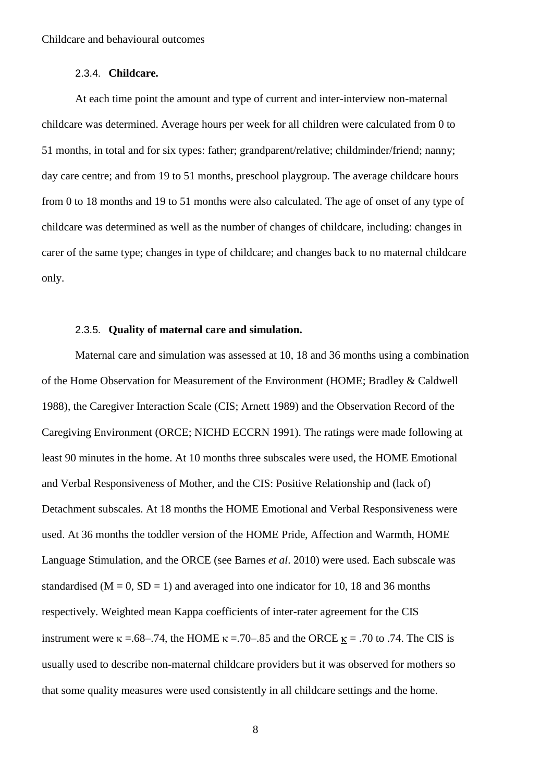#### 2.3.4. **Childcare.**

At each time point the amount and type of current and inter-interview non-maternal childcare was determined. Average hours per week for all children were calculated from 0 to 51 months, in total and for six types: father; grandparent/relative; childminder/friend; nanny; day care centre; and from 19 to 51 months, preschool playgroup. The average childcare hours from 0 to 18 months and 19 to 51 months were also calculated. The age of onset of any type of childcare was determined as well as the number of changes of childcare, including: changes in carer of the same type; changes in type of childcare; and changes back to no maternal childcare only.

#### 2.3.5. **Quality of maternal care and simulation.**

Maternal care and simulation was assessed at 10, 18 and 36 months using a combination of the Home Observation for Measurement of the Environment (HOME; Bradley & Caldwell 1988), the Caregiver Interaction Scale (CIS; Arnett 1989) and the Observation Record of the Caregiving Environment (ORCE; NICHD ECCRN 1991). The ratings were made following at least 90 minutes in the home. At 10 months three subscales were used, the HOME Emotional and Verbal Responsiveness of Mother, and the CIS: Positive Relationship and (lack of) Detachment subscales. At 18 months the HOME Emotional and Verbal Responsiveness were used. At 36 months the toddler version of the HOME Pride, Affection and Warmth, HOME Language Stimulation, and the ORCE (see Barnes *et al*. 2010) were used. Each subscale was standardised ( $M = 0$ ,  $SD = 1$ ) and averaged into one indicator for 10, 18 and 36 months respectively. Weighted mean Kappa coefficients of inter-rater agreement for the CIS instrument were  $\kappa = .68-.74$ , the HOME  $\kappa = .70-.85$  and the ORCE  $\kappa = .70$  to .74. The CIS is usually used to describe non-maternal childcare providers but it was observed for mothers so that some quality measures were used consistently in all childcare settings and the home.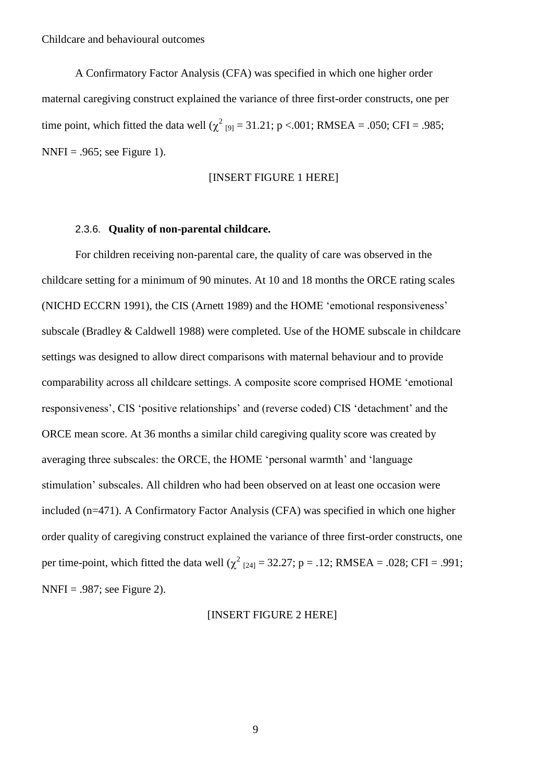A Confirmatory Factor Analysis (CFA) was specified in which one higher order maternal caregiving construct explained the variance of three first-order constructs, one per time point, which fitted the data well ( $\chi^2$  [9] = 31.21; p <.001; RMSEA = .050; CFI = .985;  $NNFI = .965$ ; see Figure 1).

#### [INSERT FIGURE 1 HERE]

#### 2.3.6. **Quality of non-parental childcare.**

For children receiving non-parental care, the quality of care was observed in the childcare setting for a minimum of 90 minutes. At 10 and 18 months the ORCE rating scales (NICHD ECCRN 1991), the CIS (Arnett 1989) and the HOME 'emotional responsiveness' subscale (Bradley & Caldwell 1988) were completed. Use of the HOME subscale in childcare settings was designed to allow direct comparisons with maternal behaviour and to provide comparability across all childcare settings. A composite score comprised HOME 'emotional responsiveness', CIS 'positive relationships' and (reverse coded) CIS 'detachment' and the ORCE mean score. At 36 months a similar child caregiving quality score was created by averaging three subscales: the ORCE, the HOME 'personal warmth' and 'language stimulation' subscales. All children who had been observed on at least one occasion were included (n=471). A Confirmatory Factor Analysis (CFA) was specified in which one higher order quality of caregiving construct explained the variance of three first-order constructs, one per time-point, which fitted the data well ( $\chi^2_{124}$  = 32.27; p = .12; RMSEA = .028; CFI = .991;  $NNFI = .987$ ; see Figure 2).

#### [INSERT FIGURE 2 HERE]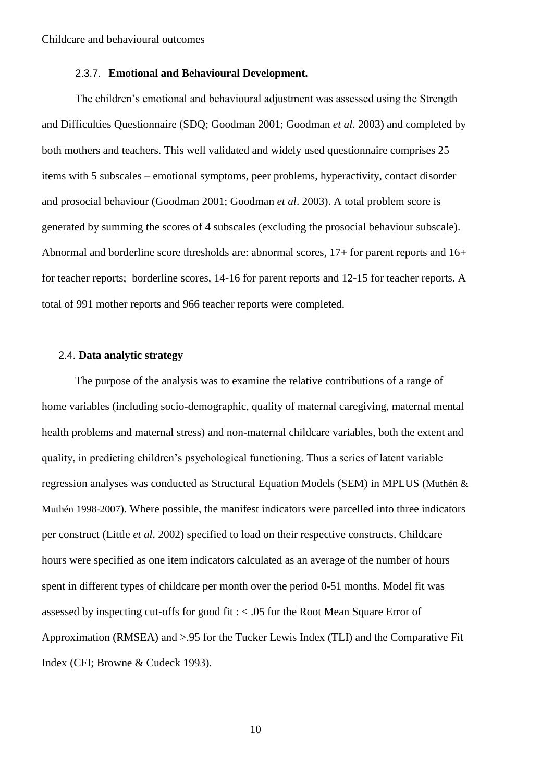#### 2.3.7. **Emotional and Behavioural Development.**

The children's emotional and behavioural adjustment was assessed using the Strength and Difficulties Questionnaire (SDQ; Goodman 2001; Goodman *et al*. 2003) and completed by both mothers and teachers. This well validated and widely used questionnaire comprises 25 items with 5 subscales – emotional symptoms, peer problems, hyperactivity, contact disorder and prosocial behaviour (Goodman 2001; Goodman *et al*. 2003). A total problem score is generated by summing the scores of 4 subscales (excluding the prosocial behaviour subscale). Abnormal and borderline score thresholds are: abnormal scores, 17+ for parent reports and 16+ for teacher reports; borderline scores, 14-16 for parent reports and 12-15 for teacher reports. A total of 991 mother reports and 966 teacher reports were completed.

#### 2.4. **Data analytic strategy**

The purpose of the analysis was to examine the relative contributions of a range of home variables (including socio-demographic, quality of maternal caregiving, maternal mental health problems and maternal stress) and non-maternal childcare variables, both the extent and quality, in predicting children's psychological functioning. Thus a series of latent variable regression analyses was conducted as Structural Equation Models (SEM) in MPLUS (Muthén & Muthén 1998-2007). Where possible, the manifest indicators were parcelled into three indicators per construct (Little *et al*. 2002) specified to load on their respective constructs. Childcare hours were specified as one item indicators calculated as an average of the number of hours spent in different types of childcare per month over the period 0-51 months. Model fit was assessed by inspecting cut-offs for good fit : < .05 for the Root Mean Square Error of Approximation (RMSEA) and >.95 for the Tucker Lewis Index (TLI) and the Comparative Fit Index (CFI; Browne & Cudeck 1993).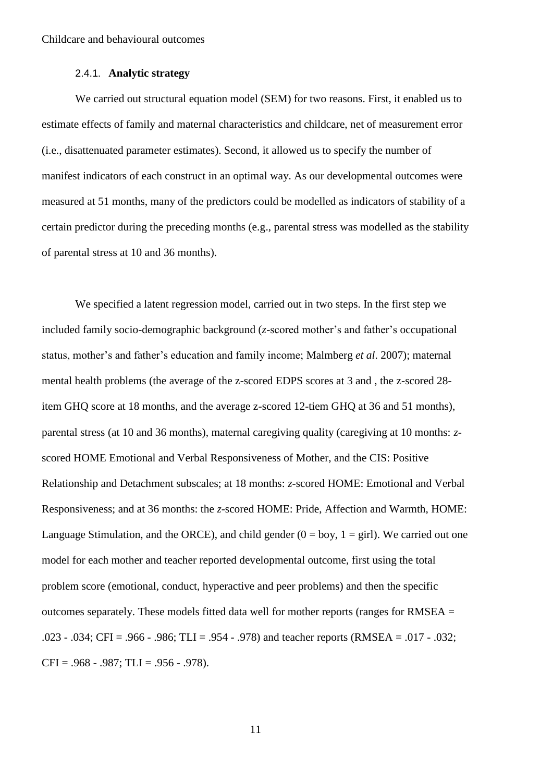#### 2.4.1. **Analytic strategy**

We carried out structural equation model (SEM) for two reasons. First, it enabled us to estimate effects of family and maternal characteristics and childcare, net of measurement error (i.e., disattenuated parameter estimates). Second, it allowed us to specify the number of manifest indicators of each construct in an optimal way. As our developmental outcomes were measured at 51 months, many of the predictors could be modelled as indicators of stability of a certain predictor during the preceding months (e.g., parental stress was modelled as the stability of parental stress at 10 and 36 months).

We specified a latent regression model, carried out in two steps. In the first step we included family socio-demographic background (*z*-scored mother's and father's occupational status, mother's and father's education and family income; Malmberg *et al*. 2007); maternal mental health problems (the average of the z-scored EDPS scores at 3 and , the z-scored 28 item GHQ score at 18 months, and the average z-scored 12-tiem GHQ at 36 and 51 months), parental stress (at 10 and 36 months), maternal caregiving quality (caregiving at 10 months: *z*scored HOME Emotional and Verbal Responsiveness of Mother, and the CIS: Positive Relationship and Detachment subscales; at 18 months: *z*-scored HOME: Emotional and Verbal Responsiveness; and at 36 months: the *z*-scored HOME: Pride, Affection and Warmth, HOME: Language Stimulation, and the ORCE), and child gender  $(0 = boy, 1 = girl)$ . We carried out one model for each mother and teacher reported developmental outcome, first using the total problem score (emotional, conduct, hyperactive and peer problems) and then the specific outcomes separately. These models fitted data well for mother reports (ranges for RMSEA = .023 - .034; CFI = .966 - .986; TLI = .954 - .978) and teacher reports (RMSEA = .017 - .032; CFI =  $.968 - .987$ ; TLI =  $.956 - .978$ ).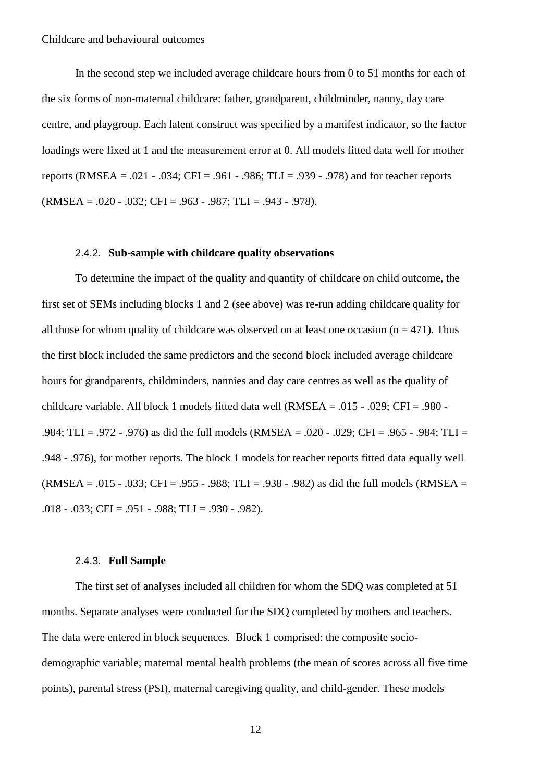In the second step we included average childcare hours from 0 to 51 months for each of the six forms of non-maternal childcare: father, grandparent, childminder, nanny, day care centre, and playgroup. Each latent construct was specified by a manifest indicator, so the factor loadings were fixed at 1 and the measurement error at 0. All models fitted data well for mother reports (RMSEA = .021 - .034; CFI = .961 - .986; TLI = .939 - .978) and for teacher reports (RMSEA = .020 - .032; CFI = .963 - .987; TLI = .943 - .978).

#### 2.4.2. **Sub-sample with childcare quality observations**

To determine the impact of the quality and quantity of childcare on child outcome, the first set of SEMs including blocks 1 and 2 (see above) was re-run adding childcare quality for all those for whom quality of childcare was observed on at least one occasion ( $n = 471$ ). Thus the first block included the same predictors and the second block included average childcare hours for grandparents, childminders, nannies and day care centres as well as the quality of childcare variable. All block 1 models fitted data well (RMSEA = .015 - .029; CFI = .980 - .984; TLI = .972 - .976) as did the full models (RMSEA = .020 - .029; CFI = .965 - .984; TLI = .948 - .976), for mother reports. The block 1 models for teacher reports fitted data equally well  $(RMSEA = .015 - .033; CFI = .955 - .988; TLI = .938 - .982)$  as did the full models  $(RMSEA = .015 - .033; CFI = .955 - .988; TLI = .938 - .982)$  $.018 - .033$ ; CFI =  $.951 - .988$ ; TLI =  $.930 - .982$ ).

#### 2.4.3. **Full Sample**

The first set of analyses included all children for whom the SDQ was completed at 51 months. Separate analyses were conducted for the SDQ completed by mothers and teachers. The data were entered in block sequences. Block 1 comprised: the composite sociodemographic variable; maternal mental health problems (the mean of scores across all five time points), parental stress (PSI), maternal caregiving quality, and child-gender. These models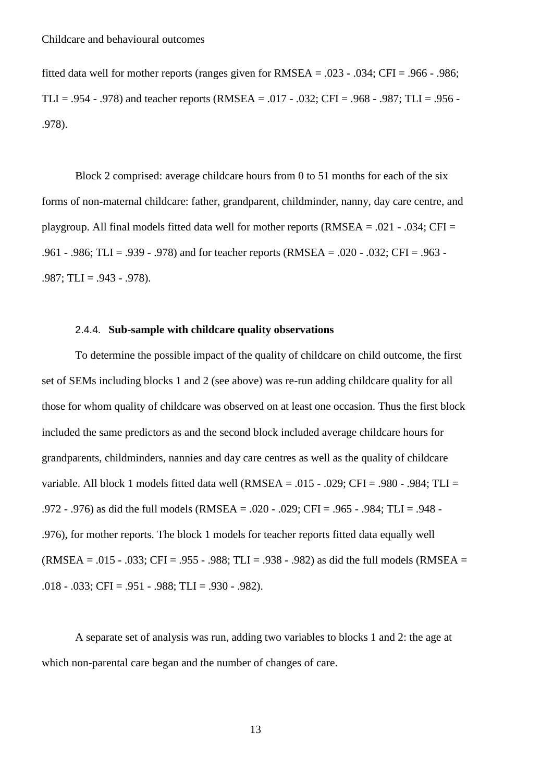fitted data well for mother reports (ranges given for  $RMSEA = .023 - .034$ ; CFI = .966 - .986; TLI = .954 - .978) and teacher reports (RMSEA = .017 - .032; CFI = .968 - .987; TLI = .956 -.978).

Block 2 comprised: average childcare hours from 0 to 51 months for each of the six forms of non-maternal childcare: father, grandparent, childminder, nanny, day care centre, and playgroup. All final models fitted data well for mother reports (RMSEA = .021 - .034; CFI = .961 - .986; TLI = .939 - .978) and for teacher reports (RMSEA = .020 - .032; CFI = .963 -  $.987$ ; TLI =  $.943 - .978$ ).

#### 2.4.4. **Sub-sample with childcare quality observations**

To determine the possible impact of the quality of childcare on child outcome, the first set of SEMs including blocks 1 and 2 (see above) was re-run adding childcare quality for all those for whom quality of childcare was observed on at least one occasion. Thus the first block included the same predictors as and the second block included average childcare hours for grandparents, childminders, nannies and day care centres as well as the quality of childcare variable. All block 1 models fitted data well (RMSEA = .015 - .029; CFI = .980 - .984; TLI = .972 - .976) as did the full models (RMSEA = .020 - .029; CFI = .965 - .984; TLI = .948 - .976), for mother reports. The block 1 models for teacher reports fitted data equally well  $(RMSEA = .015 - .033$ ; CFI = .955 - .988; TLI = .938 - .982) as did the full models (RMSEA =  $.018 - .033$ ; CFI =  $.951 - .988$ ; TLI =  $.930 - .982$ ).

A separate set of analysis was run, adding two variables to blocks 1 and 2: the age at which non-parental care began and the number of changes of care.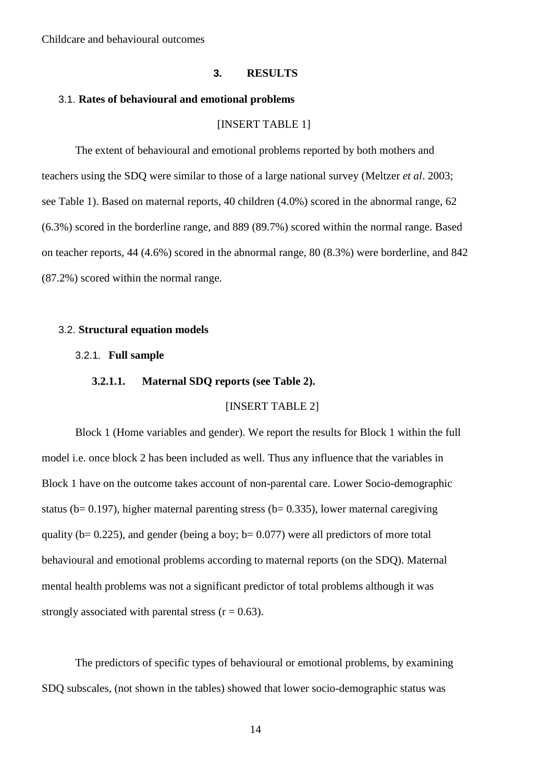#### **3. RESULTS**

#### 3.1. **Rates of behavioural and emotional problems**

#### [INSERT TABLE 1]

The extent of behavioural and emotional problems reported by both mothers and teachers using the SDQ were similar to those of a large national survey (Meltzer *et al*. 2003; see Table 1). Based on maternal reports, 40 children (4.0%) scored in the abnormal range, 62 (6.3%) scored in the borderline range, and 889 (89.7%) scored within the normal range. Based on teacher reports, 44 (4.6%) scored in the abnormal range, 80 (8.3%) were borderline, and 842 (87.2%) scored within the normal range.

#### 3.2. **Structural equation models**

#### 3.2.1. **Full sample**

#### **3.2.1.1. Maternal SDQ reports (see Table 2).**

#### [INSERT TABLE 2]

Block 1 (Home variables and gender). We report the results for Block 1 within the full model i.e. once block 2 has been included as well. Thus any influence that the variables in Block 1 have on the outcome takes account of non-parental care. Lower Socio-demographic status ( $b= 0.197$ ), higher maternal parenting stress ( $b= 0.335$ ), lower maternal caregiving quality ( $b= 0.225$ ), and gender (being a boy;  $b= 0.077$ ) were all predictors of more total behavioural and emotional problems according to maternal reports (on the SDQ). Maternal mental health problems was not a significant predictor of total problems although it was strongly associated with parental stress  $(r = 0.63)$ .

The predictors of specific types of behavioural or emotional problems, by examining SDQ subscales, (not shown in the tables) showed that lower socio-demographic status was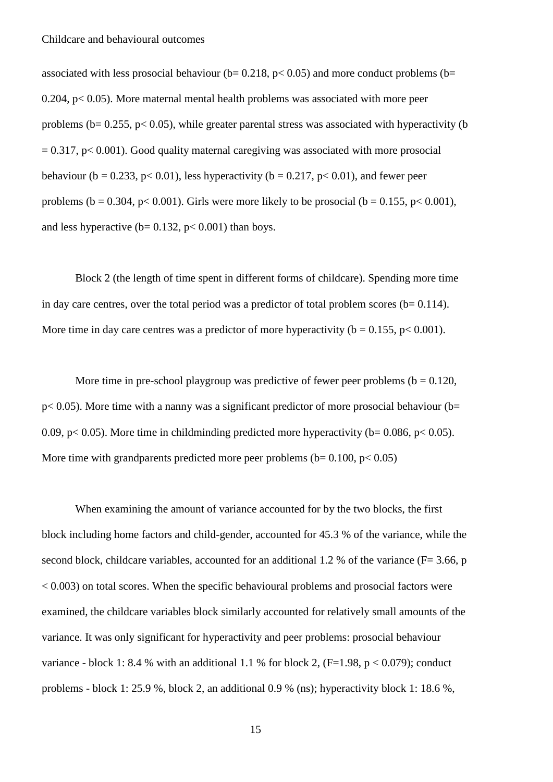associated with less prosocial behaviour ( $b= 0.218$ ,  $p< 0.05$ ) and more conduct problems ( $b=$  $0.204$ ,  $p < 0.05$ ). More maternal mental health problems was associated with more peer problems ( $b = 0.255$ ,  $p < 0.05$ ), while greater parental stress was associated with hyperactivity (b  $= 0.317$ , p $< 0.001$ ). Good quality maternal caregiving was associated with more prosocial behaviour (b = 0.233, p < 0.01), less hyperactivity (b = 0.217, p < 0.01), and fewer peer problems (b = 0.304, p< 0.001). Girls were more likely to be prosocial (b = 0.155, p< 0.001), and less hyperactive ( $b = 0.132$ ,  $p < 0.001$ ) than boys.

Block 2 (the length of time spent in different forms of childcare). Spending more time in day care centres, over the total period was a predictor of total problem scores ( $b = 0.114$ ). More time in day care centres was a predictor of more hyperactivity ( $b = 0.155$ ,  $p < 0.001$ ).

More time in pre-school playgroup was predictive of fewer peer problems ( $b = 0.120$ ,  $p< 0.05$ ). More time with a nanny was a significant predictor of more prosocial behaviour (b= 0.09, p $\lt$  0.05). More time in childminding predicted more hyperactivity (b= 0.086, p $\lt$  0.05). More time with grandparents predicted more peer problems ( $b = 0.100$ ,  $p < 0.05$ )

When examining the amount of variance accounted for by the two blocks, the first block including home factors and child-gender, accounted for 45.3 % of the variance, while the second block, childcare variables, accounted for an additional 1.2 % of the variance ( $F = 3.66$ , p < 0.003) on total scores. When the specific behavioural problems and prosocial factors were examined, the childcare variables block similarly accounted for relatively small amounts of the variance. It was only significant for hyperactivity and peer problems: prosocial behaviour variance - block 1: 8.4 % with an additional 1.1 % for block 2,  $(F=1.98, p < 0.079)$ ; conduct problems - block 1: 25.9 %, block 2, an additional 0.9 % (ns); hyperactivity block 1: 18.6 %,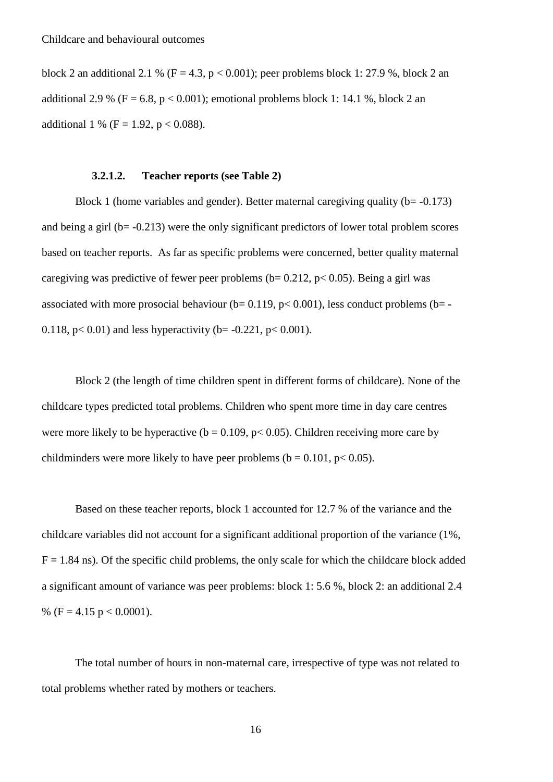block 2 an additional 2.1 % ( $F = 4.3$ ,  $p < 0.001$ ); peer problems block 1: 27.9 %, block 2 an additional 2.9 % ( $F = 6.8$ ,  $p < 0.001$ ); emotional problems block 1: 14.1 %, block 2 an additional 1 % (F = 1.92, p < 0.088).

#### **3.2.1.2. Teacher reports (see Table 2)**

Block 1 (home variables and gender). Better maternal caregiving quality ( $b = -0.173$ ) and being a girl ( $b = -0.213$ ) were the only significant predictors of lower total problem scores based on teacher reports. As far as specific problems were concerned, better quality maternal caregiving was predictive of fewer peer problems ( $b= 0.212$ ,  $p< 0.05$ ). Being a girl was associated with more prosocial behaviour ( $b= 0.119$ ,  $p< 0.001$ ), less conduct problems ( $b= -$ 0.118,  $p < 0.01$ ) and less hyperactivity (b= -0.221,  $p < 0.001$ ).

Block 2 (the length of time children spent in different forms of childcare). None of the childcare types predicted total problems. Children who spent more time in day care centres were more likely to be hyperactive ( $b = 0.109$ ,  $p < 0.05$ ). Children receiving more care by childminders were more likely to have peer problems ( $b = 0.101$ ,  $p < 0.05$ ).

Based on these teacher reports, block 1 accounted for 12.7 % of the variance and the childcare variables did not account for a significant additional proportion of the variance (1%,  $F = 1.84$  ns). Of the specific child problems, the only scale for which the childcare block added a significant amount of variance was peer problems: block 1: 5.6 %, block 2: an additional 2.4 % (F = 4.15 p < 0.0001).

The total number of hours in non-maternal care, irrespective of type was not related to total problems whether rated by mothers or teachers.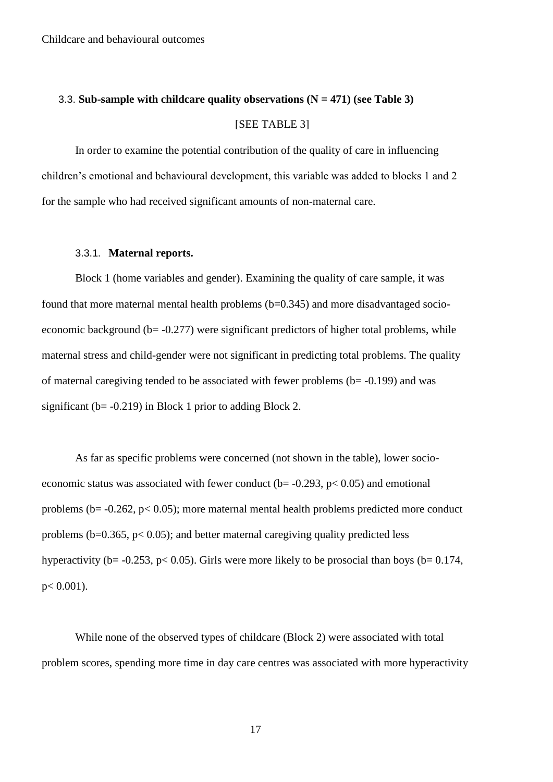## 3.3. **Sub-sample with childcare quality observations (N = 471) (see Table 3)** [SEE TABLE 3]

In order to examine the potential contribution of the quality of care in influencing children's emotional and behavioural development, this variable was added to blocks 1 and 2 for the sample who had received significant amounts of non-maternal care.

#### 3.3.1. **Maternal reports.**

Block 1 (home variables and gender). Examining the quality of care sample, it was found that more maternal mental health problems  $(b=0.345)$  and more disadvantaged socioeconomic background ( $b = -0.277$ ) were significant predictors of higher total problems, while maternal stress and child-gender were not significant in predicting total problems. The quality of maternal caregiving tended to be associated with fewer problems  $(b = -0.199)$  and was significant ( $b = -0.219$ ) in Block 1 prior to adding Block 2.

As far as specific problems were concerned (not shown in the table), lower socioeconomic status was associated with fewer conduct ( $b$ = -0.293,  $p$  < 0.05) and emotional problems (b= -0.262, p< 0.05); more maternal mental health problems predicted more conduct problems ( $b=0.365$ ,  $p< 0.05$ ); and better maternal caregiving quality predicted less hyperactivity (b=  $-0.253$ , p< 0.05). Girls were more likely to be prosocial than boys (b= 0.174,  $p < 0.001$ ).

While none of the observed types of childcare (Block 2) were associated with total problem scores, spending more time in day care centres was associated with more hyperactivity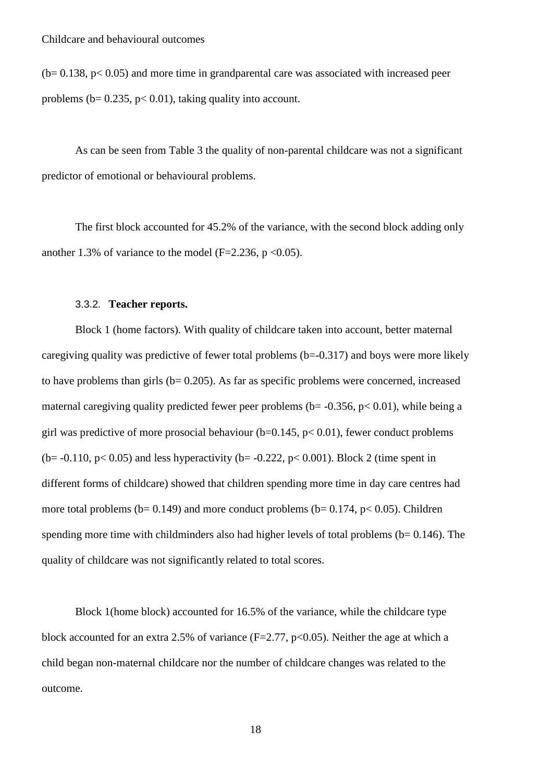$(b= 0.138, p < 0.05)$  and more time in grandparental care was associated with increased peer problems ( $b = 0.235$ ,  $p < 0.01$ ), taking quality into account.

As can be seen from Table 3 the quality of non-parental childcare was not a significant predictor of emotional or behavioural problems.

The first block accounted for 45.2% of the variance, with the second block adding only another 1.3% of variance to the model (F=2.236, p < 0.05).

#### 3.3.2. **Teacher reports.**

Block 1 (home factors). With quality of childcare taken into account, better maternal caregiving quality was predictive of fewer total problems (b=-0.317) and boys were more likely to have problems than girls ( $b= 0.205$ ). As far as specific problems were concerned, increased maternal caregiving quality predicted fewer peer problems ( $b = -0.356$ ,  $p < 0.01$ ), while being a girl was predictive of more prosocial behaviour  $(b=0.145, p< 0.01)$ , fewer conduct problems (b=  $-0.110$ , p< 0.05) and less hyperactivity (b=  $-0.222$ , p< 0.001). Block 2 (time spent in different forms of childcare) showed that children spending more time in day care centres had more total problems ( $b= 0.149$ ) and more conduct problems ( $b= 0.174$ ,  $p< 0.05$ ). Children spending more time with childminders also had higher levels of total problems ( $b = 0.146$ ). The quality of childcare was not significantly related to total scores.

Block 1(home block) accounted for 16.5% of the variance, while the childcare type block accounted for an extra 2.5% of variance  $(F=2.77, p<0.05)$ . Neither the age at which a child began non-maternal childcare nor the number of childcare changes was related to the outcome.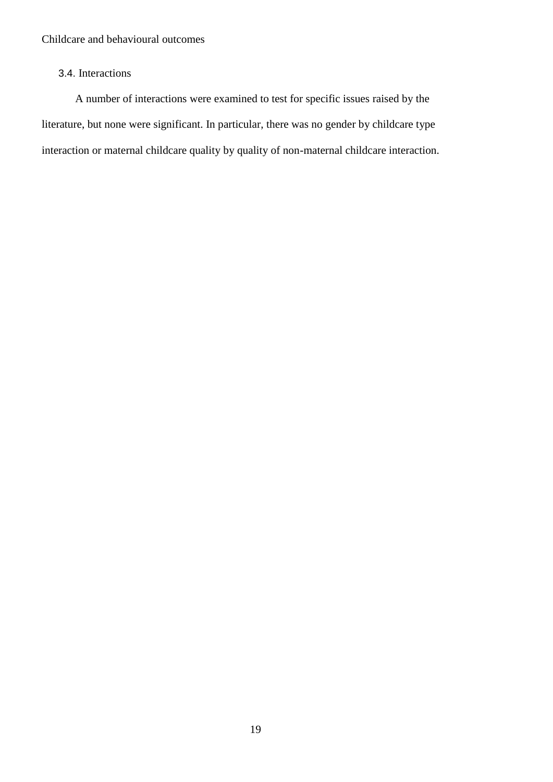### 3.4. Interactions

A number of interactions were examined to test for specific issues raised by the literature, but none were significant. In particular, there was no gender by childcare type interaction or maternal childcare quality by quality of non-maternal childcare interaction.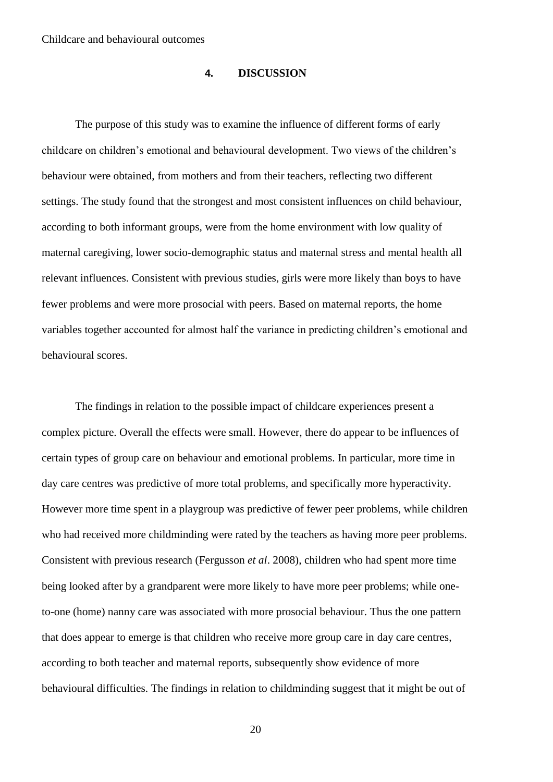#### **4. DISCUSSION**

The purpose of this study was to examine the influence of different forms of early childcare on children's emotional and behavioural development. Two views of the children's behaviour were obtained, from mothers and from their teachers, reflecting two different settings. The study found that the strongest and most consistent influences on child behaviour, according to both informant groups, were from the home environment with low quality of maternal caregiving, lower socio-demographic status and maternal stress and mental health all relevant influences. Consistent with previous studies, girls were more likely than boys to have fewer problems and were more prosocial with peers. Based on maternal reports, the home variables together accounted for almost half the variance in predicting children's emotional and behavioural scores.

The findings in relation to the possible impact of childcare experiences present a complex picture. Overall the effects were small. However, there do appear to be influences of certain types of group care on behaviour and emotional problems. In particular, more time in day care centres was predictive of more total problems, and specifically more hyperactivity. However more time spent in a playgroup was predictive of fewer peer problems, while children who had received more childminding were rated by the teachers as having more peer problems. Consistent with previous research (Fergusson *et al*. 2008), children who had spent more time being looked after by a grandparent were more likely to have more peer problems; while oneto-one (home) nanny care was associated with more prosocial behaviour. Thus the one pattern that does appear to emerge is that children who receive more group care in day care centres, according to both teacher and maternal reports, subsequently show evidence of more behavioural difficulties. The findings in relation to childminding suggest that it might be out of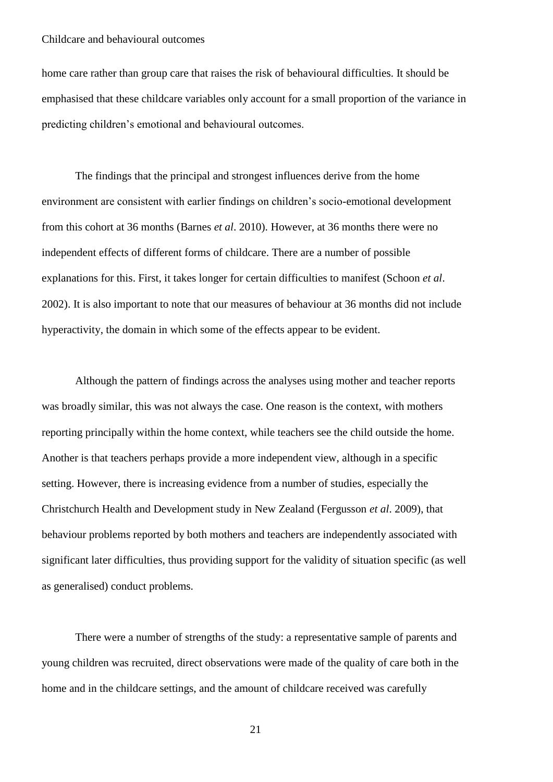home care rather than group care that raises the risk of behavioural difficulties. It should be emphasised that these childcare variables only account for a small proportion of the variance in predicting children's emotional and behavioural outcomes.

The findings that the principal and strongest influences derive from the home environment are consistent with earlier findings on children's socio-emotional development from this cohort at 36 months (Barnes *et al*. 2010). However, at 36 months there were no independent effects of different forms of childcare. There are a number of possible explanations for this. First, it takes longer for certain difficulties to manifest (Schoon *et al*. 2002). It is also important to note that our measures of behaviour at 36 months did not include hyperactivity, the domain in which some of the effects appear to be evident.

Although the pattern of findings across the analyses using mother and teacher reports was broadly similar, this was not always the case. One reason is the context, with mothers reporting principally within the home context, while teachers see the child outside the home. Another is that teachers perhaps provide a more independent view, although in a specific setting. However, there is increasing evidence from a number of studies, especially the Christchurch Health and Development study in New Zealand (Fergusson *et al*. 2009), that behaviour problems reported by both mothers and teachers are independently associated with significant later difficulties, thus providing support for the validity of situation specific (as well as generalised) conduct problems.

There were a number of strengths of the study: a representative sample of parents and young children was recruited, direct observations were made of the quality of care both in the home and in the childcare settings, and the amount of childcare received was carefully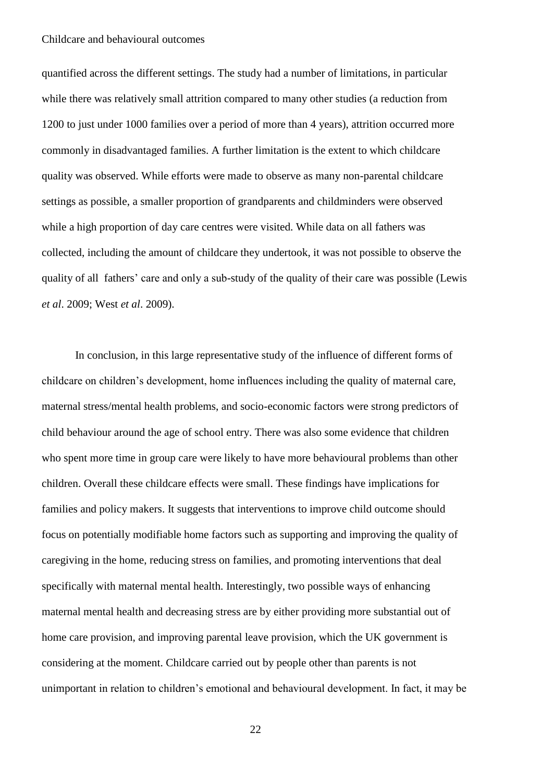quantified across the different settings. The study had a number of limitations, in particular while there was relatively small attrition compared to many other studies (a reduction from 1200 to just under 1000 families over a period of more than 4 years), attrition occurred more commonly in disadvantaged families. A further limitation is the extent to which childcare quality was observed. While efforts were made to observe as many non-parental childcare settings as possible, a smaller proportion of grandparents and childminders were observed while a high proportion of day care centres were visited. While data on all fathers was collected, including the amount of childcare they undertook, it was not possible to observe the quality of all fathers' care and only a sub-study of the quality of their care was possible (Lewis *et al*. 2009; West *et al*. 2009).

In conclusion, in this large representative study of the influence of different forms of childcare on children's development, home influences including the quality of maternal care, maternal stress/mental health problems, and socio-economic factors were strong predictors of child behaviour around the age of school entry. There was also some evidence that children who spent more time in group care were likely to have more behavioural problems than other children. Overall these childcare effects were small. These findings have implications for families and policy makers. It suggests that interventions to improve child outcome should focus on potentially modifiable home factors such as supporting and improving the quality of caregiving in the home, reducing stress on families, and promoting interventions that deal specifically with maternal mental health. Interestingly, two possible ways of enhancing maternal mental health and decreasing stress are by either providing more substantial out of home care provision, and improving parental leave provision, which the UK government is considering at the moment. Childcare carried out by people other than parents is not unimportant in relation to children's emotional and behavioural development. In fact, it may be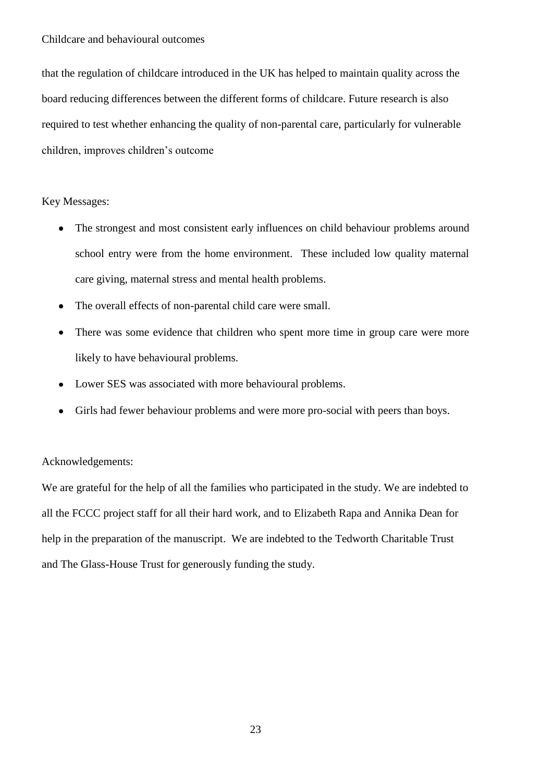that the regulation of childcare introduced in the UK has helped to maintain quality across the board reducing differences between the different forms of childcare. Future research is also required to test whether enhancing the quality of non-parental care, particularly for vulnerable children, improves children's outcome

#### Key Messages:

- The strongest and most consistent early influences on child behaviour problems around school entry were from the home environment. These included low quality maternal care giving, maternal stress and mental health problems.
- The overall effects of non-parental child care were small.
- There was some evidence that children who spent more time in group care were more likely to have behavioural problems.
- Lower SES was associated with more behavioural problems.
- Girls had fewer behaviour problems and were more pro-social with peers than boys.

#### Acknowledgements:

We are grateful for the help of all the families who participated in the study. We are indebted to all the FCCC project staff for all their hard work, and to Elizabeth Rapa and Annika Dean for help in the preparation of the manuscript. We are indebted to the Tedworth Charitable Trust and The Glass-House Trust for generously funding the study.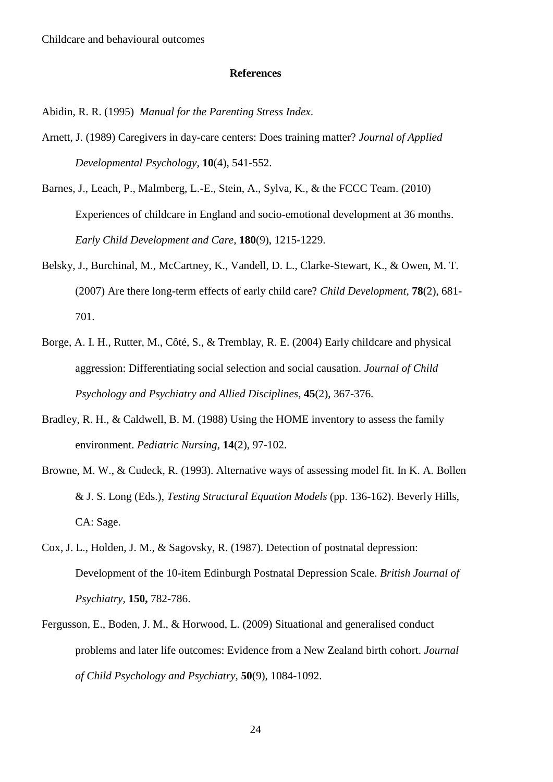#### **References**

Abidin, R. R. (1995) *Manual for the Parenting Stress Index*.

- Arnett, J. (1989) Caregivers in day-care centers: Does training matter? *Journal of Applied Developmental Psychology,* **10**(4), 541-552.
- Barnes, J., Leach, P., Malmberg, L.-E., Stein, A., Sylva, K., & the FCCC Team. (2010) Experiences of childcare in England and socio-emotional development at 36 months. *Early Child Development and Care*, **180**(9), 1215-1229.
- Belsky, J., Burchinal, M., McCartney, K., Vandell, D. L., Clarke-Stewart, K., & Owen, M. T. (2007) Are there long-term effects of early child care? *Child Development,* **78**(2), 681- 701.
- Borge, A. I. H., Rutter, M., Côté, S., & Tremblay, R. E. (2004) Early childcare and physical aggression: Differentiating social selection and social causation. *Journal of Child Psychology and Psychiatry and Allied Disciplines,* **45**(2), 367-376.
- Bradley, R. H., & Caldwell, B. M. (1988) Using the HOME inventory to assess the family environment. *Pediatric Nursing,* **14**(2), 97-102.
- Browne, M. W., & Cudeck, R. (1993). Alternative ways of assessing model fit. In K. A. Bollen & J. S. Long (Eds.), *Testing Structural Equation Models* (pp. 136-162). Beverly Hills, CA: Sage.
- Cox, J. L., Holden, J. M., & Sagovsky, R. (1987). Detection of postnatal depression: Development of the 10-item Edinburgh Postnatal Depression Scale. *British Journal of Psychiatry,* **150,** 782-786.
- Fergusson, E., Boden, J. M., & Horwood, L. (2009) Situational and generalised conduct problems and later life outcomes: Evidence from a New Zealand birth cohort. *Journal of Child Psychology and Psychiatry,* **50**(9), 1084-1092.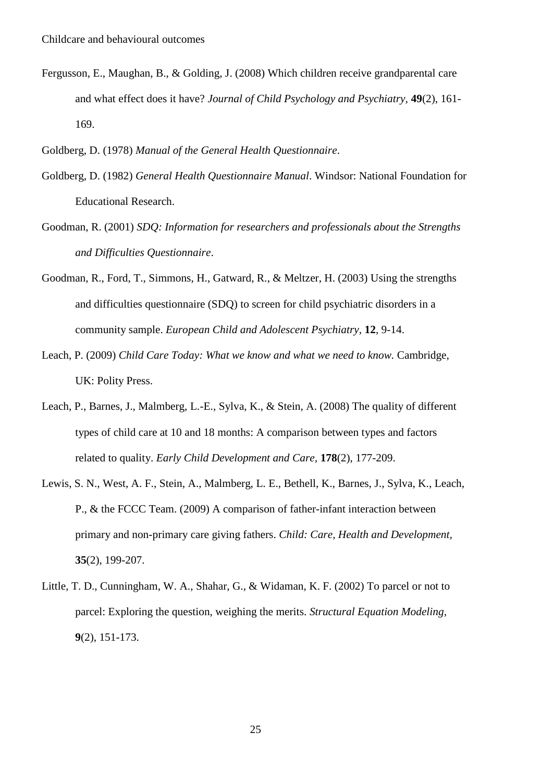- Fergusson, E., Maughan, B., & Golding, J. (2008) Which children receive grandparental care and what effect does it have? *Journal of Child Psychology and Psychiatry,* **49**(2), 161- 169.
- Goldberg, D. (1978) *Manual of the General Health Questionnaire*.
- Goldberg, D. (1982) *General Health Questionnaire Manual*. Windsor: National Foundation for Educational Research.
- Goodman, R. (2001) *SDQ: Information for researchers and professionals about the Strengths and Difficulties Questionnaire*.
- Goodman, R., Ford, T., Simmons, H., Gatward, R., & Meltzer, H. (2003) Using the strengths and difficulties questionnaire (SDQ) to screen for child psychiatric disorders in a community sample. *European Child and Adolescent Psychiatry,* **12**, 9-14.
- Leach, P. (2009) *Child Care Today: What we know and what we need to know.* Cambridge, UK: Polity Press.
- Leach, P., Barnes, J., Malmberg, L.-E., Sylva, K., & Stein, A. (2008) The quality of different types of child care at 10 and 18 months: A comparison between types and factors related to quality. *Early Child Development and Care,* **178**(2), 177-209.
- Lewis, S. N., West, A. F., Stein, A., Malmberg, L. E., Bethell, K., Barnes, J., Sylva, K., Leach, P., & the FCCC Team. (2009) A comparison of father-infant interaction between primary and non-primary care giving fathers. *Child: Care, Health and Development,*  **35**(2), 199-207.
- Little, T. D., Cunningham, W. A., Shahar, G., & Widaman, K. F. (2002) To parcel or not to parcel: Exploring the question, weighing the merits. *Structural Equation Modeling,*  **9**(2), 151-173.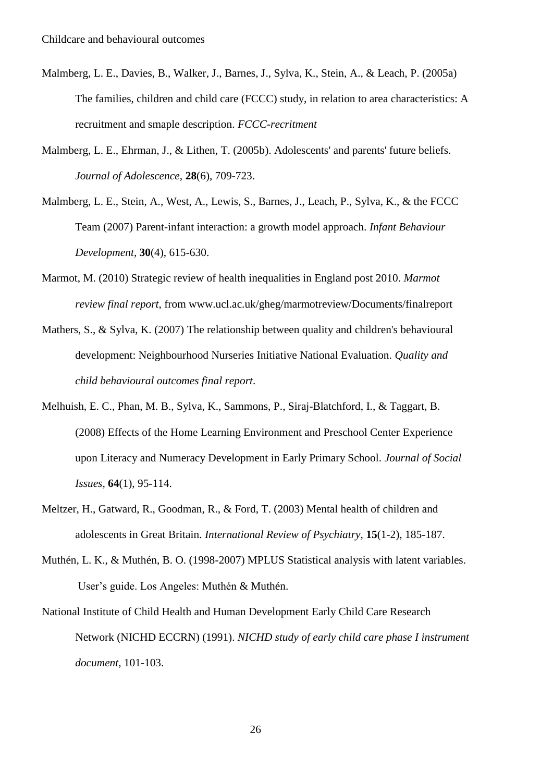- Malmberg, L. E., Davies, B., Walker, J., Barnes, J., Sylva, K., Stein, A., & Leach, P. (2005a) The families, children and child care (FCCC) study, in relation to area characteristics: A recruitment and smaple description. *FCCC-recritment*
- Malmberg, L. E., Ehrman, J., & Lithen, T. (2005b). Adolescents' and parents' future beliefs. *Journal of Adolescence,* **28**(6), 709-723.
- Malmberg, L. E., Stein, A., West, A., Lewis, S., Barnes, J., Leach, P., Sylva, K., & the FCCC Team (2007) Parent-infant interaction: a growth model approach. *Infant Behaviour Development,* **30**(4), 615-630.
- Marmot, M. (2010) Strategic review of health inequalities in England post 2010. *Marmot review final report*, from www.ucl.ac.uk/gheg/marmotreview/Documents/finalreport
- Mathers, S., & Sylva, K. (2007) The relationship between quality and children's behavioural development: Neighbourhood Nurseries Initiative National Evaluation. *Quality and child behavioural outcomes final report*.
- Melhuish, E. C., Phan, M. B., Sylva, K., Sammons, P., Siraj-Blatchford, I., & Taggart, B. (2008) Effects of the Home Learning Environment and Preschool Center Experience upon Literacy and Numeracy Development in Early Primary School. *Journal of Social Issues,* **64**(1), 95-114.
- Meltzer, H., Gatward, R., Goodman, R., & Ford, T. (2003) Mental health of children and adolescents in Great Britain. *International Review of Psychiatry,* **15**(1-2), 185-187.
- Muthén, L. K., & Muthén, B. O. (1998-2007) MPLUS Statistical analysis with latent variables. User's guide. Los Angeles: Muthén & Muthén.
- National Institute of Child Health and Human Development Early Child Care Research Network (NICHD ECCRN) (1991). *NICHD study of early child care phase I instrument document*, 101-103.